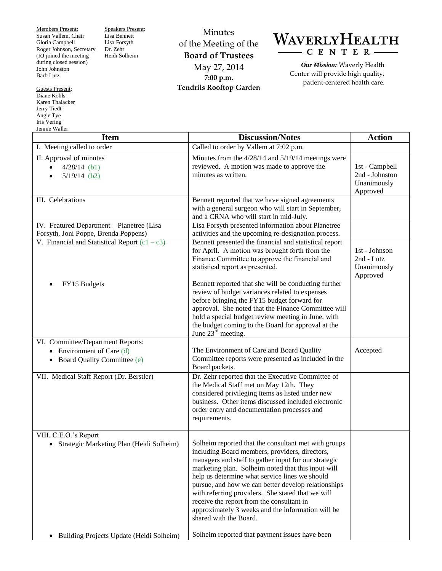Members Present: Susan Vallem, Chair Gloria Campbell Roger Johnson, Secretary (RJ joined the meeting during closed session) John Johnston Barb Lutz

Guests Present: Diane Kohls Karen Thalacker Jerry Tiedt Angie Tye Iris Vering Jennie Waller

Speakers Present: Lisa Bennett Lisa Forsyth Dr. Zehr Heidi Solheim

Minutes of the Meeting of the **Board of Trustees** May 27, 2014 **7:00 p.m. Tendrils Rooftop Garden**

## WAVERLYHEALTH  $-C E N T E R -$

*Our Mission:* Waverly Health Center will provide high quality, patient-centered health care.

| <b>Item</b>                                                                                                           | <b>Discussion/Notes</b>                                                                                                                                                                                                                                                                                                                                                                                                                                                                                        | <b>Action</b>                                               |
|-----------------------------------------------------------------------------------------------------------------------|----------------------------------------------------------------------------------------------------------------------------------------------------------------------------------------------------------------------------------------------------------------------------------------------------------------------------------------------------------------------------------------------------------------------------------------------------------------------------------------------------------------|-------------------------------------------------------------|
| I. Meeting called to order                                                                                            | Called to order by Vallem at 7:02 p.m.                                                                                                                                                                                                                                                                                                                                                                                                                                                                         |                                                             |
| II. Approval of minutes<br>$4/28/14$ (b1)<br>$\bullet$<br>$5/19/14$ (b2)                                              | Minutes from the 4/28/14 and 5/19/14 meetings were<br>reviewed. A motion was made to approve the<br>minutes as written.                                                                                                                                                                                                                                                                                                                                                                                        | 1st - Campbell<br>2nd - Johnston<br>Unanimously<br>Approved |
| III. Celebrations                                                                                                     | Bennett reported that we have signed agreements<br>with a general surgeon who will start in September,<br>and a CRNA who will start in mid-July.                                                                                                                                                                                                                                                                                                                                                               |                                                             |
| IV. Featured Department - Planetree (Lisa<br>Forsyth, Joni Poppe, Brenda Poppens)                                     | Lisa Forsyth presented information about Planetree<br>activities and the upcoming re-designation process.                                                                                                                                                                                                                                                                                                                                                                                                      |                                                             |
| V. Financial and Statistical Report $(c1 - c3)$                                                                       | Bennett presented the financial and statistical report<br>for April. A motion was brought forth from the<br>Finance Committee to approve the financial and<br>statistical report as presented.                                                                                                                                                                                                                                                                                                                 | 1st - Johnson<br>2nd - Lutz<br>Unanimously<br>Approved      |
| FY15 Budgets                                                                                                          | Bennett reported that she will be conducting further<br>review of budget variances related to expenses<br>before bringing the FY15 budget forward for<br>approval. She noted that the Finance Committee will<br>hold a special budget review meeting in June, with<br>the budget coming to the Board for approval at the<br>June $23^{\text{rd}}$ meeting.                                                                                                                                                     |                                                             |
| VI. Committee/Department Reports:<br>Environment of Care (d)<br>$\bullet$<br>Board Quality Committee (e)<br>$\bullet$ | The Environment of Care and Board Quality<br>Committee reports were presented as included in the<br>Board packets.                                                                                                                                                                                                                                                                                                                                                                                             | Accepted                                                    |
| VII. Medical Staff Report (Dr. Berstler)                                                                              | Dr. Zehr reported that the Executive Committee of<br>the Medical Staff met on May 12th. They<br>considered privileging items as listed under new<br>business. Other items discussed included electronic<br>order entry and documentation processes and<br>requirements.                                                                                                                                                                                                                                        |                                                             |
| VIII. C.E.O.'s Report<br>Strategic Marketing Plan (Heidi Solheim)<br>٠                                                | Solheim reported that the consultant met with groups<br>including Board members, providers, directors,<br>managers and staff to gather input for our strategic<br>marketing plan. Solheim noted that this input will<br>help us determine what service lines we should<br>pursue, and how we can better develop relationships<br>with referring providers. She stated that we will<br>receive the report from the consultant in<br>approximately 3 weeks and the information will be<br>shared with the Board. |                                                             |
| Building Projects Update (Heidi Solheim)<br>$\bullet$                                                                 | Solheim reported that payment issues have been                                                                                                                                                                                                                                                                                                                                                                                                                                                                 |                                                             |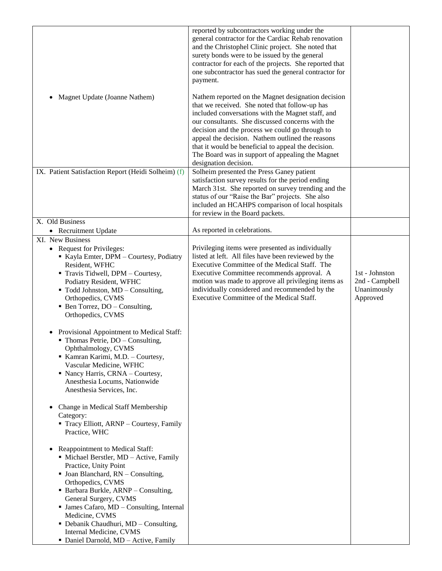| Magnet Update (Joanne Nathem)<br>٠                                                                                                                                                                                                                                                                                                                                                                                                                                                                                                                                                            | reported by subcontractors working under the<br>general contractor for the Cardiac Rehab renovation<br>and the Christophel Clinic project. She noted that<br>surety bonds were to be issued by the general<br>contractor for each of the projects. She reported that<br>one subcontractor has sued the general contractor for<br>payment.<br>Nathem reported on the Magnet designation decision<br>that we received. She noted that follow-up has<br>included conversations with the Magnet staff, and<br>our consultants. She discussed concerns with the<br>decision and the process we could go through to<br>appeal the decision. Nathem outlined the reasons<br>that it would be beneficial to appeal the decision.<br>The Board was in support of appealing the Magnet<br>designation decision. |                                                             |
|-----------------------------------------------------------------------------------------------------------------------------------------------------------------------------------------------------------------------------------------------------------------------------------------------------------------------------------------------------------------------------------------------------------------------------------------------------------------------------------------------------------------------------------------------------------------------------------------------|-------------------------------------------------------------------------------------------------------------------------------------------------------------------------------------------------------------------------------------------------------------------------------------------------------------------------------------------------------------------------------------------------------------------------------------------------------------------------------------------------------------------------------------------------------------------------------------------------------------------------------------------------------------------------------------------------------------------------------------------------------------------------------------------------------|-------------------------------------------------------------|
| IX. Patient Satisfaction Report (Heidi Solheim) (f)                                                                                                                                                                                                                                                                                                                                                                                                                                                                                                                                           | Solheim presented the Press Ganey patient<br>satisfaction survey results for the period ending<br>March 31st. She reported on survey trending and the<br>status of our "Raise the Bar" projects. She also<br>included an HCAHPS comparison of local hospitals<br>for review in the Board packets.                                                                                                                                                                                                                                                                                                                                                                                                                                                                                                     |                                                             |
| X. Old Business<br>• Recruitment Update                                                                                                                                                                                                                                                                                                                                                                                                                                                                                                                                                       | As reported in celebrations.                                                                                                                                                                                                                                                                                                                                                                                                                                                                                                                                                                                                                                                                                                                                                                          |                                                             |
| XI. New Business                                                                                                                                                                                                                                                                                                                                                                                                                                                                                                                                                                              |                                                                                                                                                                                                                                                                                                                                                                                                                                                                                                                                                                                                                                                                                                                                                                                                       |                                                             |
| <b>Request for Privileges:</b><br>٠<br>Kayla Emter, DPM - Courtesy, Podiatry<br>Resident, WFHC<br>Travis Tidwell, DPM - Courtesy,<br>Podiatry Resident, WFHC<br>$\blacksquare$ Todd Johnston, MD – Consulting,<br>Orthopedics, CVMS<br>$\blacksquare$ Ben Torrez, DO – Consulting,<br>Orthopedics, CVMS<br>Provisional Appointment to Medical Staff:<br>$\blacksquare$ Thomas Petrie, DO – Consulting,<br>Ophthalmology, CVMS<br>Kamran Karimi, M.D. - Courtesy,<br>Vascular Medicine, WFHC<br>• Nancy Harris, CRNA – Courtesy,<br>Anesthesia Locums, Nationwide<br>Anesthesia Services, Inc. | Privileging items were presented as individually<br>listed at left. All files have been reviewed by the<br>Executive Committee of the Medical Staff. The<br>Executive Committee recommends approval. A<br>motion was made to approve all privileging items as<br>individually considered and recommended by the<br>Executive Committee of the Medical Staff.                                                                                                                                                                                                                                                                                                                                                                                                                                          | 1st - Johnston<br>2nd - Campbell<br>Unanimously<br>Approved |
| Change in Medical Staff Membership<br>Category:<br>Tracy Elliott, ARNP - Courtesy, Family<br>Practice, WHC<br>Reappointment to Medical Staff:<br>$\bullet$<br>• Michael Berstler, MD - Active, Family<br>Practice, Unity Point<br>• Joan Blanchard, RN - Consulting,<br>Orthopedics, CVMS<br>• Barbara Burkle, ARNP - Consulting,<br>General Surgery, CVMS<br>· James Cafaro, MD - Consulting, Internal<br>Medicine, CVMS                                                                                                                                                                     |                                                                                                                                                                                                                                                                                                                                                                                                                                                                                                                                                                                                                                                                                                                                                                                                       |                                                             |
| • Debanik Chaudhuri, MD - Consulting,<br>Internal Medicine, CVMS<br>• Daniel Darnold, MD - Active, Family                                                                                                                                                                                                                                                                                                                                                                                                                                                                                     |                                                                                                                                                                                                                                                                                                                                                                                                                                                                                                                                                                                                                                                                                                                                                                                                       |                                                             |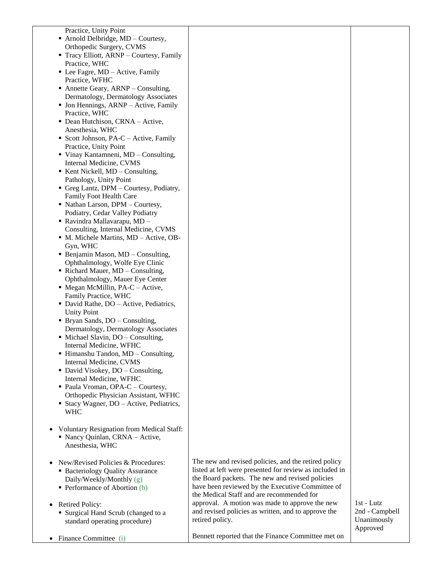|           | Practice, Unity Point                                                            |                                                                        |                              |
|-----------|----------------------------------------------------------------------------------|------------------------------------------------------------------------|------------------------------|
|           | • Arnold Delbridge, MD - Courtesy,                                               |                                                                        |                              |
|           | Orthopedic Surgery, CVMS                                                         |                                                                        |                              |
|           | • Tracy Elliott, ARNP – Courtesy, Family                                         |                                                                        |                              |
|           | Practice, WHC                                                                    |                                                                        |                              |
|           | $\blacksquare$ Lee Fagre, MD – Active, Family                                    |                                                                        |                              |
|           | Practice, WFHC                                                                   |                                                                        |                              |
|           | • Annette Geary, $ARNP$ – Consulting,                                            |                                                                        |                              |
|           | Dermatology, Dermatology Associates                                              |                                                                        |                              |
|           | • Jon Hennings, ARNP – Active, Family<br>Practice, WHC                           |                                                                        |                              |
|           | • Dean Hutchison, CRNA - Active,                                                 |                                                                        |                              |
|           | Anesthesia, WHC                                                                  |                                                                        |                              |
|           | Scott Johnson, PA-C – Active, Family                                             |                                                                        |                              |
|           | Practice, Unity Point                                                            |                                                                        |                              |
|           | ■ Vinay Kantamneni, MD - Consulting,                                             |                                                                        |                              |
|           | Internal Medicine, CVMS                                                          |                                                                        |                              |
|           | $\blacksquare$ Kent Nickell, MD – Consulting,                                    |                                                                        |                              |
|           | Pathology, Unity Point                                                           |                                                                        |                              |
|           | Greg Lantz, DPM - Courtesy, Podiatry,                                            |                                                                        |                              |
|           | Family Foot Health Care                                                          |                                                                        |                              |
|           | • Nathan Larson, DPM - Courtesy,                                                 |                                                                        |                              |
|           | Podiatry, Cedar Valley Podiatry                                                  |                                                                        |                              |
|           | ■ Ravindra Mallavarapu, MD -                                                     |                                                                        |                              |
|           | Consulting, Internal Medicine, CVMS                                              |                                                                        |                              |
|           | • M. Michele Martins, MD - Active, OB-                                           |                                                                        |                              |
|           | Gyn, WHC                                                                         |                                                                        |                              |
|           | • Benjamin Mason, MD - Consulting,                                               |                                                                        |                              |
|           | Ophthalmology, Wolfe Eye Clinic                                                  |                                                                        |                              |
|           | • Richard Mauer, MD – Consulting,<br>Ophthalmology, Mauer Eye Center             |                                                                        |                              |
|           | $\blacksquare$ Megan McMillin, PA-C – Active,                                    |                                                                        |                              |
|           | Family Practice, WHC                                                             |                                                                        |                              |
|           | • David Rathe, DO – Active, Pediatrics,                                          |                                                                        |                              |
|           | <b>Unity Point</b>                                                               |                                                                        |                              |
|           | • Bryan Sands, DO - Consulting,                                                  |                                                                        |                              |
|           | Dermatology, Dermatology Associates                                              |                                                                        |                              |
|           | • Michael Slavin, DO – Consulting,                                               |                                                                        |                              |
|           | Internal Medicine, WFHC                                                          |                                                                        |                              |
|           | • Himanshu Tandon, MD - Consulting,                                              |                                                                        |                              |
|           | Internal Medicine, CVMS                                                          |                                                                        |                              |
|           | • David Visokey, DO - Consulting,                                                |                                                                        |                              |
|           | Internal Medicine, WFHC                                                          |                                                                        |                              |
|           | · Paula Vroman, OPA-C - Courtesy,                                                |                                                                        |                              |
|           | Orthopedic Physician Assistant, WFHC<br>• Stacy Wagner, DO – Active, Pediatrics, |                                                                        |                              |
|           | <b>WHC</b>                                                                       |                                                                        |                              |
|           |                                                                                  |                                                                        |                              |
|           | <b>Voluntary Resignation from Medical Staff:</b>                                 |                                                                        |                              |
|           | • Nancy Quinlan, CRNA - Active,                                                  |                                                                        |                              |
|           | Anesthesia, WHC                                                                  |                                                                        |                              |
|           |                                                                                  |                                                                        |                              |
|           | New/Revised Policies & Procedures:                                               | The new and revised policies, and the retired policy                   |                              |
|           | • Bacteriology Quality Assurance                                                 | listed at left were presented for review as included in                |                              |
|           | Daily/Weekly/Monthly (g)                                                         | the Board packets. The new and revised policies                        |                              |
|           | $\blacksquare$ Performance of Abortion (h)                                       | have been reviewed by the Executive Committee of                       |                              |
|           |                                                                                  | the Medical Staff and are recommended for                              |                              |
|           | <b>Retired Policy:</b>                                                           | approval. A motion was made to approve the new                         | 1st - Lutz<br>2nd - Campbell |
|           | • Surgical Hand Scrub (changed to a                                              | and revised policies as written, and to approve the<br>retired policy. | Unanimously                  |
|           | standard operating procedure)                                                    |                                                                        | Approved                     |
|           |                                                                                  | Bennett reported that the Finance Committee met on                     |                              |
| $\bullet$ | Finance Committee (i)                                                            |                                                                        |                              |